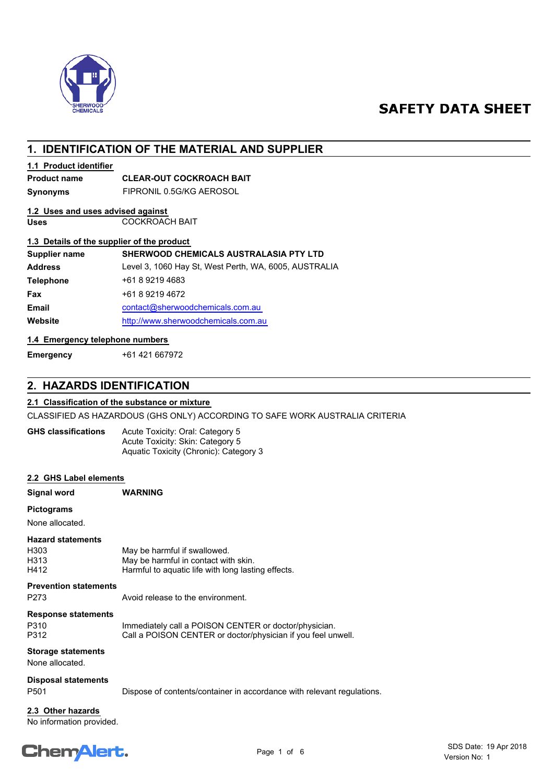

# **SAFETY DATA SHEET**

# **1. IDENTIFICATION OF THE MATERIAL AND SUPPLIER**

# **1.1 Product identifier**

# **Product name CLEAR-OUT COCKROACH BAIT**

**Synonyms** FIPRONIL 0.5G/KG AEROSOL

# **1.2 Uses and uses advised against**

**Uses** COCKROACH BAIT

# **1.3 Details of the supplier of the product**

| Supplier name    | <b>SHERWOOD CHEMICALS AUSTRALASIA PTY LTD</b>         |
|------------------|-------------------------------------------------------|
| <b>Address</b>   | Level 3, 1060 Hay St, West Perth, WA, 6005, AUSTRALIA |
| <b>Telephone</b> | +61 8 9219 4683                                       |
| Fax              | +61 8 9219 4672                                       |
| <b>Email</b>     | contact@sherwoodchemicals.com.au                      |
| Website          | http://www.sherwoodchemicals.com.au                   |
|                  |                                                       |

# **1.4 Emergency telephone numbers**

**Emergency** +61 421 667972

# **2. HAZARDS IDENTIFICATION**

## **2.1 Classification of the substance or mixture**

CLASSIFIED AS HAZARDOUS (GHS ONLY) ACCORDING TO SAFE WORK AUSTRALIA CRITERIA

Acute Toxicity: Oral: Category 5 Acute Toxicity: Skin: Category 5 Aquatic Toxicity (Chronic): Category 3 **GHS classifications**

## **2.2 GHS Label elements**

| Signal word                                      | <b>WARNING</b>                                                                                                             |
|--------------------------------------------------|----------------------------------------------------------------------------------------------------------------------------|
| <b>Pictograms</b><br>None allocated.             |                                                                                                                            |
| <b>Hazard statements</b><br>H303<br>H313<br>H412 | May be harmful if swallowed.<br>May be harmful in contact with skin.<br>Harmful to aguatic life with long lasting effects. |
| <b>Prevention statements</b><br>P273             | Avoid release to the environment.                                                                                          |
| <b>Response statements</b><br>P310<br>P312       | Immediately call a POISON CENTER or doctor/physician.<br>Call a POISON CENTER or doctor/physician if you feel unwell.      |
| <b>Storage statements</b><br>None allocated.     |                                                                                                                            |
| <b>Disposal statements</b><br>P <sub>501</sub>   | Dispose of contents/container in accordance with relevant regulations.                                                     |
| 2.3 Other hazards                                |                                                                                                                            |

No information provided.

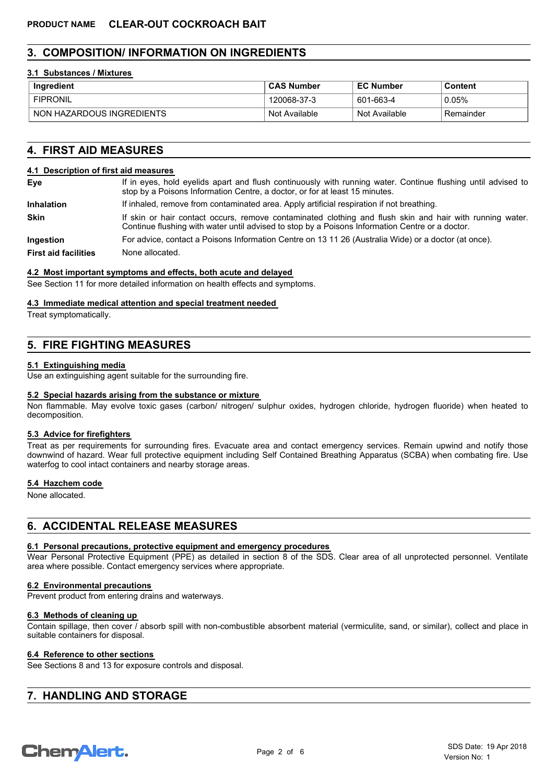# **3. COMPOSITION/ INFORMATION ON INGREDIENTS**

## **3.1 Substances / Mixtures**

| Ingredient                | <b>CAS Number</b> | <b>EC Number</b> | Content   |
|---------------------------|-------------------|------------------|-----------|
| <b>FIPRONIL</b>           | 120068-37-3       | 601-663-4        | 0.05%     |
| NON HAZARDOUS INGREDIENTS | Not Available     | Not Available    | Remainder |

# **4. FIRST AID MEASURES**

#### **4.1 Description of first aid measures**

| Eye                         | If in eyes, hold eyelids apart and flush continuously with running water. Continue flushing until advised to<br>stop by a Poisons Information Centre, a doctor, or for at least 15 minutes.                 |  |  |
|-----------------------------|-------------------------------------------------------------------------------------------------------------------------------------------------------------------------------------------------------------|--|--|
| <b>Inhalation</b>           | If inhaled, remove from contaminated area. Apply artificial respiration if not breathing.                                                                                                                   |  |  |
| <b>Skin</b>                 | If skin or hair contact occurs, remove contaminated clothing and flush skin and hair with running water.<br>Continue flushing with water until advised to stop by a Poisons Information Centre or a doctor. |  |  |
| <b>Ingestion</b>            | For advice, contact a Poisons Information Centre on 13 11 26 (Australia Wide) or a doctor (at once).                                                                                                        |  |  |
| <b>First aid facilities</b> | None allocated.                                                                                                                                                                                             |  |  |

#### **4.2 Most important symptoms and effects, both acute and delayed**

See Section 11 for more detailed information on health effects and symptoms.

#### **4.3 Immediate medical attention and special treatment needed**

Treat symptomatically.

# **5. FIRE FIGHTING MEASURES**

## **5.1 Extinguishing media**

Use an extinguishing agent suitable for the surrounding fire.

## **5.2 Special hazards arising from the substance or mixture**

Non flammable. May evolve toxic gases (carbon/ nitrogen/ sulphur oxides, hydrogen chloride, hydrogen fluoride) when heated to decomposition.

## **5.3 Advice for firefighters**

Treat as per requirements for surrounding fires. Evacuate area and contact emergency services. Remain upwind and notify those downwind of hazard. Wear full protective equipment including Self Contained Breathing Apparatus (SCBA) when combating fire. Use waterfog to cool intact containers and nearby storage areas.

# **5.4 Hazchem code**

None allocated.

# **6. ACCIDENTAL RELEASE MEASURES**

## **6.1 Personal precautions, protective equipment and emergency procedures**

Wear Personal Protective Equipment (PPE) as detailed in section 8 of the SDS. Clear area of all unprotected personnel. Ventilate area where possible. Contact emergency services where appropriate.

#### **6.2 Environmental precautions**

Prevent product from entering drains and waterways.

#### **6.3 Methods of cleaning up**

Contain spillage, then cover / absorb spill with non-combustible absorbent material (vermiculite, sand, or similar), collect and place in suitable containers for disposal.

## **6.4 Reference to other sections**

See Sections 8 and 13 for exposure controls and disposal.

# **7. HANDLING AND STORAGE**

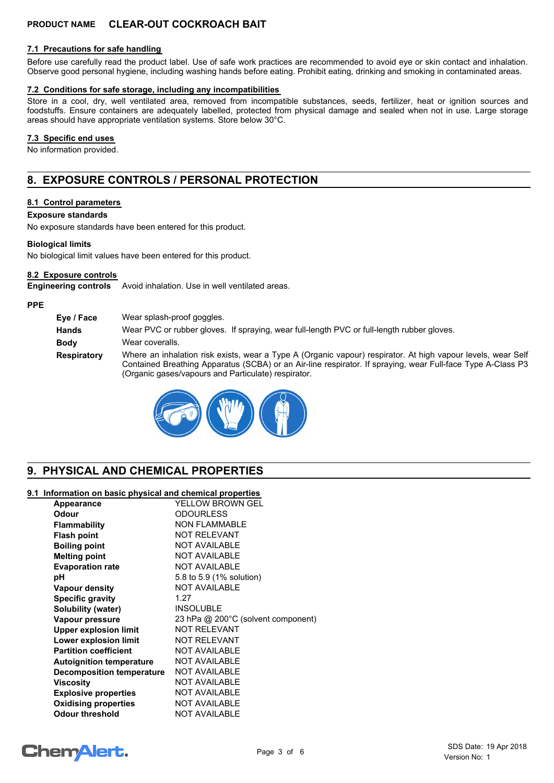# **PRODUCT NAME CLEAR-OUT COCKROACH BAIT**

# **7.1 Precautions for safe handling**

Before use carefully read the product label. Use of safe work practices are recommended to avoid eye or skin contact and inhalation. Observe good personal hygiene, including washing hands before eating. Prohibit eating, drinking and smoking in contaminated areas.

#### **7.2 Conditions for safe storage, including any incompatibilities**

Store in a cool, dry, well ventilated area, removed from incompatible substances, seeds, fertilizer, heat or ignition sources and foodstuffs. Ensure containers are adequately labelled, protected from physical damage and sealed when not in use. Large storage areas should have appropriate ventilation systems. Store below 30°C.

## **7.3 Specific end uses**

No information provided.

# **8. EXPOSURE CONTROLS / PERSONAL PROTECTION**

## **8.1 Control parameters**

#### **Exposure standards**

No exposure standards have been entered for this product.

#### **Biological limits**

No biological limit values have been entered for this product.

## **8.2 Exposure controls**

**Engineering controls** Avoid inhalation. Use in well ventilated areas.

#### **PPE**

**Eye / Face** Wear splash-proof goggles. **Hands** Wear PVC or rubber gloves. If spraying, wear full-length PVC or full-length rubber gloves. **Body** Wear coveralls. **Respiratory** Where an inhalation risk exists, wear a Type A (Organic vapour) respirator. At high vapour levels, wear Self Contained Breathing Apparatus (SCBA) or an Air-line respirator. If spraying, wear Full-face Type A-Class P3 (Organic gases/vapours and Particulate) respirator.



# **9. PHYSICAL AND CHEMICAL PROPERTIES**

## **9.1 Information on basic physical and chemical properties**

| Appearance                      | YELLOW BROWN GEL                   |
|---------------------------------|------------------------------------|
| Odour                           | <b>ODOURLESS</b>                   |
| <b>Flammability</b>             | <b>NON FLAMMABLE</b>               |
| <b>Flash point</b>              | <b>NOT RELEVANT</b>                |
| <b>Boiling point</b>            | <b>NOT AVAILABLE</b>               |
| <b>Melting point</b>            | <b>NOT AVAILABLE</b>               |
| <b>Evaporation rate</b>         | <b>NOT AVAILABLE</b>               |
| рH                              | 5.8 to 5.9 (1% solution)           |
| <b>Vapour density</b>           | <b>NOT AVAILABLE</b>               |
| <b>Specific gravity</b>         | 1.27                               |
| <b>Solubility (water)</b>       | <b>INSOLUBLE</b>                   |
| Vapour pressure                 | 23 hPa @ 200°C (solvent component) |
| <b>Upper explosion limit</b>    | <b>NOT RELEVANT</b>                |
| Lower explosion limit           | <b>NOT RELEVANT</b>                |
| <b>Partition coefficient</b>    | <b>NOT AVAILABLE</b>               |
| <b>Autoignition temperature</b> | <b>NOT AVAILABLE</b>               |
| Decomposition temperature       | <b>NOT AVAILABLE</b>               |
| <b>Viscosity</b>                | <b>NOT AVAILABLE</b>               |
| <b>Explosive properties</b>     | <b>NOT AVAILABLE</b>               |
| <b>Oxidising properties</b>     | <b>NOT AVAILABLE</b>               |
| <b>Odour threshold</b>          | <b>NOT AVAILABLE</b>               |

# **ChemAlert.**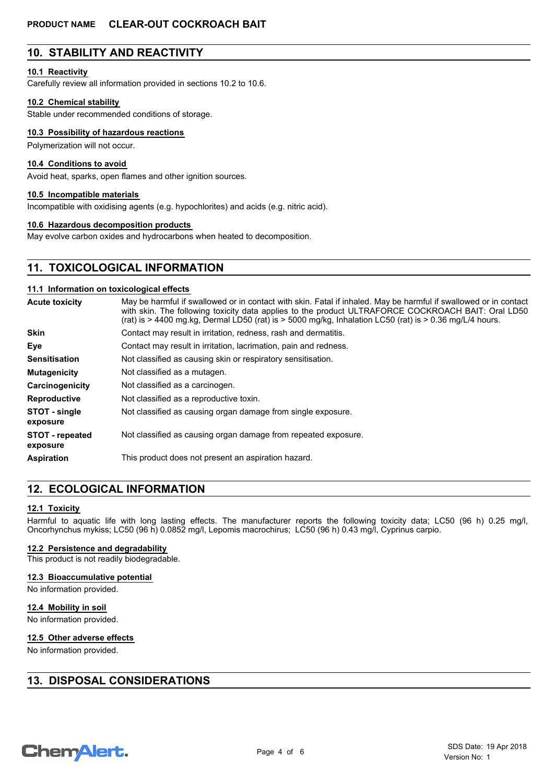# **10. STABILITY AND REACTIVITY**

## **10.1 Reactivity**

Carefully review all information provided in sections 10.2 to 10.6.

#### **10.2 Chemical stability**

Stable under recommended conditions of storage.

## **10.3 Possibility of hazardous reactions**

Polymerization will not occur.

#### **10.4 Conditions to avoid**

Avoid heat, sparks, open flames and other ignition sources.

## **10.5 Incompatible materials**

Incompatible with oxidising agents (e.g. hypochlorites) and acids (e.g. nitric acid).

### **10.6 Hazardous decomposition products**

May evolve carbon oxides and hydrocarbons when heated to decomposition.

# **11. TOXICOLOGICAL INFORMATION**

## **11.1 Information on toxicological effects**

| <b>Acute toxicity</b>              | May be harmful if swallowed or in contact with skin. Fatal if inhaled. May be harmful if swallowed or in contact<br>with skin. The following toxicity data applies to the product ULTRAFORCE COCKROACH BAIT: Oral LD50<br>(rat) is $>$ 4400 mg.kg, Dermal LD50 (rat) is $>$ 5000 mg/kg, Inhalation LC50 (rat) is $>$ 0.36 mg/L/4 hours. |  |  |
|------------------------------------|-----------------------------------------------------------------------------------------------------------------------------------------------------------------------------------------------------------------------------------------------------------------------------------------------------------------------------------------|--|--|
| <b>Skin</b>                        | Contact may result in irritation, redness, rash and dermatitis.                                                                                                                                                                                                                                                                         |  |  |
| Eye                                | Contact may result in irritation, lacrimation, pain and redness.                                                                                                                                                                                                                                                                        |  |  |
| Sensitisation                      | Not classified as causing skin or respiratory sensitisation.                                                                                                                                                                                                                                                                            |  |  |
| <b>Mutagenicity</b>                | Not classified as a mutagen.                                                                                                                                                                                                                                                                                                            |  |  |
| Carcinogenicity                    | Not classified as a carcinogen.                                                                                                                                                                                                                                                                                                         |  |  |
| Reproductive                       | Not classified as a reproductive toxin.                                                                                                                                                                                                                                                                                                 |  |  |
| <b>STOT - single</b><br>exposure   | Not classified as causing organ damage from single exposure.                                                                                                                                                                                                                                                                            |  |  |
| <b>STOT - repeated</b><br>exposure | Not classified as causing organ damage from repeated exposure.                                                                                                                                                                                                                                                                          |  |  |
| Aspiration                         | This product does not present an aspiration hazard.                                                                                                                                                                                                                                                                                     |  |  |

# **12. ECOLOGICAL INFORMATION**

#### **12.1 Toxicity**

Harmful to aquatic life with long lasting effects. The manufacturer reports the following toxicity data; LC50 (96 h) 0.25 mg/l, Oncorhynchus mykiss; LC50 (96 h) 0.0852 mg/l, Lepomis macrochirus; LC50 (96 h) 0.43 mg/l, Cyprinus carpio.

#### **12.2 Persistence and degradability**

This product is not readily biodegradable.

#### **12.3 Bioaccumulative potential**

No information provided.

#### **12.4 Mobility in soil**

No information provided.

## **12.5 Other adverse effects**

No information provided.

# **13. DISPOSAL CONSIDERATIONS**

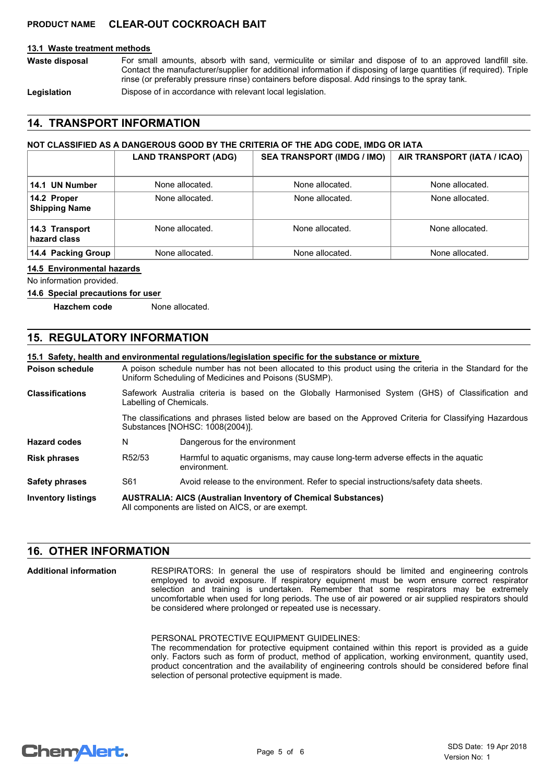# **PRODUCT NAME CLEAR-OUT COCKROACH BAIT**

## **13.1 Waste treatment methods**

For small amounts, absorb with sand, vermiculite or similar and dispose of to an approved landfill site. Contact the manufacturer/supplier for additional information if disposing of large quantities (if required). Triple rinse (or preferably pressure rinse) containers before disposal. Add rinsings to the spray tank. **Waste disposal**

Legislation **Dispose of in accordance with relevant local legislation.** 

# **14. TRANSPORT INFORMATION**

# **NOT CLASSIFIED AS A DANGEROUS GOOD BY THE CRITERIA OF THE ADG CODE, IMDG OR IATA**

|                                     | <b>LAND TRANSPORT (ADG)</b> | <b>SEA TRANSPORT (IMDG / IMO)</b> | AIR TRANSPORT (IATA / ICAO) |
|-------------------------------------|-----------------------------|-----------------------------------|-----------------------------|
| 14.1 UN Number                      | None allocated.             | None allocated.                   | None allocated.             |
| 14.2 Proper<br><b>Shipping Name</b> | None allocated.             | None allocated.                   | None allocated.             |
| 14.3 Transport<br>hazard class      | None allocated.             | None allocated.                   | None allocated.             |
| 14.4 Packing Group                  | None allocated.             | None allocated.                   | None allocated.             |

#### **14.5 Environmental hazards**

No information provided.

#### **14.6 Special precautions for user**

**Hazchem code** None allocated.

# **15. REGULATORY INFORMATION**

# **15.1 Safety, health and environmental regulations/legislation specific for the substance or mixture**

|                        |                                                                                                                               | 15.1 Salety, health and environmental requiations/legislation specific for the substance of inixture                                                               |  |  |
|------------------------|-------------------------------------------------------------------------------------------------------------------------------|--------------------------------------------------------------------------------------------------------------------------------------------------------------------|--|--|
| <b>Poison schedule</b> |                                                                                                                               | A poison schedule number has not been allocated to this product using the criteria in the Standard for the<br>Uniform Scheduling of Medicines and Poisons (SUSMP). |  |  |
| <b>Classifications</b> | Safework Australia criteria is based on the Globally Harmonised System (GHS) of Classification and<br>Labelling of Chemicals. |                                                                                                                                                                    |  |  |
|                        |                                                                                                                               | The classifications and phrases listed below are based on the Approved Criteria for Classifying Hazardous<br>Substances [NOHSC: 1008(2004)].                       |  |  |
| <b>Hazard codes</b>    | N                                                                                                                             | Dangerous for the environment                                                                                                                                      |  |  |
| <b>Risk phrases</b>    | R52/53                                                                                                                        | Harmful to aquatic organisms, may cause long-term adverse effects in the aquatic<br>environment.                                                                   |  |  |
| <b>Safety phrases</b>  | S61                                                                                                                           | Avoid release to the environment. Refer to special instructions/safety data sheets.                                                                                |  |  |
|                        |                                                                                                                               |                                                                                                                                                                    |  |  |

#### **AUSTRALIA: AICS (Australian Inventory of Chemical Substances)** All components are listed on AICS, or are exempt. **Inventory listings**

# **16. OTHER INFORMATION**

RESPIRATORS: In general the use of respirators should be limited and engineering controls employed to avoid exposure. If respiratory equipment must be worn ensure correct respirator selection and training is undertaken. Remember that some respirators may be extremely uncomfortable when used for long periods. The use of air powered or air supplied respirators should be considered where prolonged or repeated use is necessary. **Additional information**

PERSONAL PROTECTIVE EQUIPMENT GUIDELINES:

The recommendation for protective equipment contained within this report is provided as a guide only. Factors such as form of product, method of application, working environment, quantity used, product concentration and the availability of engineering controls should be considered before final selection of personal protective equipment is made.

# **ChemAlert.**